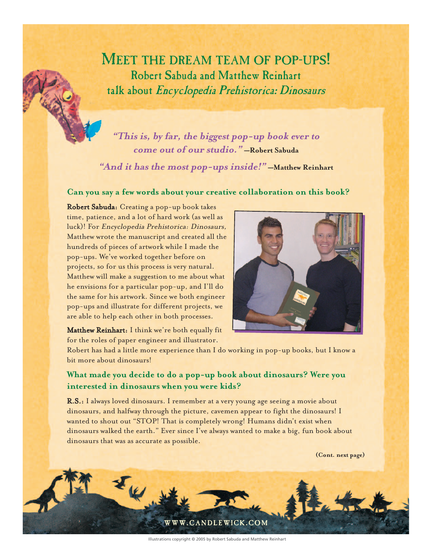MEET THE DREAM TEAM OF POP-UPS! Robert Sabuda and Matthew Reinhart talk about *Encyclopedia Prehistorica: Dinosaurs*

**"This is, by far, the biggest pop-up book ever to come out of our studio." —Robert Sabuda**

**"And it has the most pop-ups inside!" —Matthew Reinhart**

# **Can you say a few words about your creative collaboration on this book?**

Robert Sabuda: Creating a pop-up book takes time, patience, and a lot of hard work (as well as luck)! For Encyclopedia Prehistorica: Dinosaurs, Matthew wrote the manuscript and created all the hundreds of pieces of artwork while I made the pop-ups. We've worked together before on projects, so for us this process is very natural. Matthew will make a suggestion to me about what he envisions for a particular pop-up, and I'll do the same for his artwork. Since we both engineer pop-ups and illustrate for different projects, we are able to help each other in both processes.



Matthew Reinhart: I think we're both equally fit for the roles of paper engineer and illustrator.

Robert has had a little more experience than I do working in pop-up books, but I know a bit more about dinosaurs!

# **What made you decide to do a pop-up book about dinosaurs? Were you interested in dinosaurs when you were kids?**

R.S.: I always loved dinosaurs. I remember at a very young age seeing a movie about dinosaurs, and halfway through the picture, cavemen appear to fight the dinosaurs! I wanted to shout out "STOP! That is completely wrong! Humans didn't exist when dinosaurs walked the earth." Ever since I've always wanted to make a big, fun book about dinosaurs that was as accurate as possible.

**(Cont. next page)**